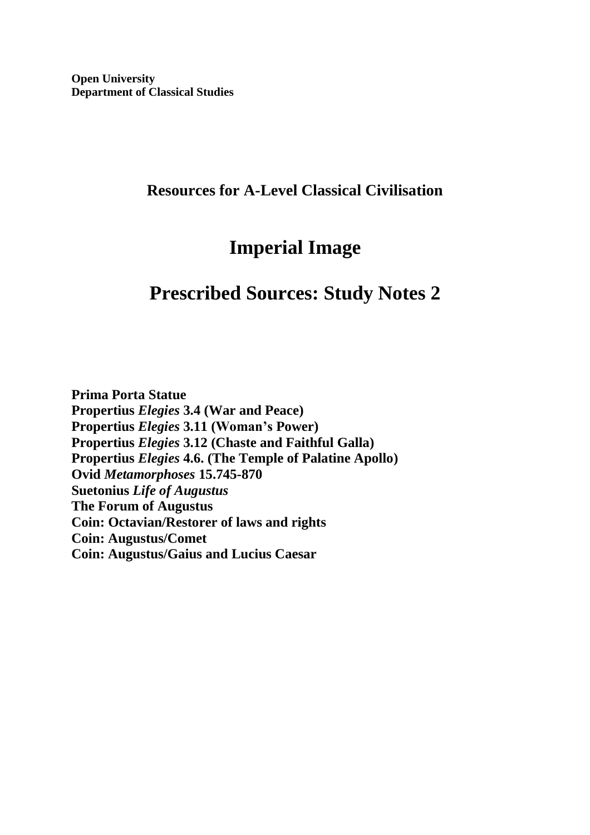**Resources for A-Level Classical Civilisation**

# **Imperial Image**

## **Prescribed Sources: Study Notes 2**

**Prima Porta Statue Propertius** *Elegies* **3.4 (War and Peace) Propertius** *Elegies* **3.11 (Woman's Power) Propertius** *Elegies* **3.12 (Chaste and Faithful Galla) Propertius** *Elegies* **4.6. (The Temple of Palatine Apollo) Ovid** *Metamorphoses* **15.745-870 Suetonius** *Life of Augustus* **The Forum of Augustus Coin: Octavian/Restorer of laws and rights Coin: Augustus/Comet Coin: Augustus/Gaius and Lucius Caesar**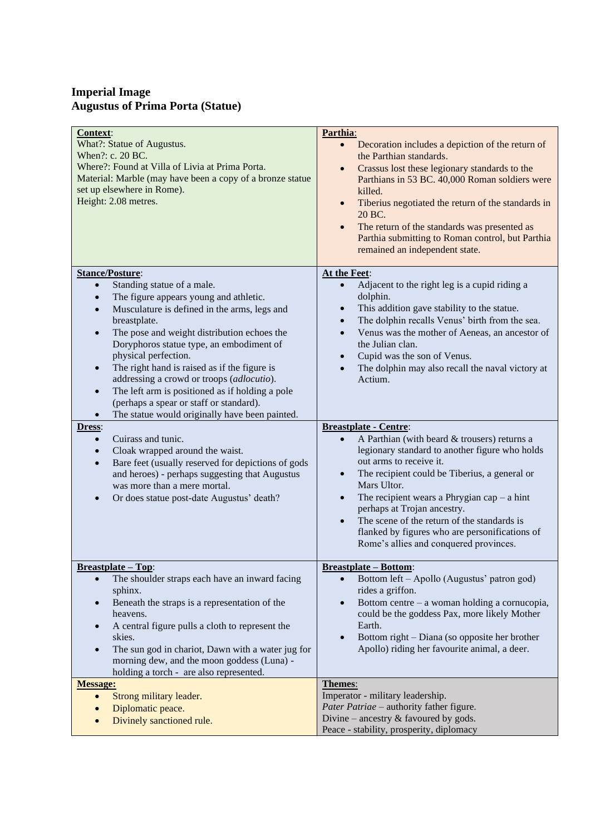#### **Imperial Image Augustus of Prima Porta (Statue)**

| Parthia:<br>Context:<br>What?: Statue of Augustus.<br>Decoration includes a depiction of the return of<br>$\bullet$<br>When?: c. 20 BC.<br>the Parthian standards.<br>Where?: Found at Villa of Livia at Prima Porta.<br>Crassus lost these legionary standards to the<br>$\bullet$<br>Material: Marble (may have been a copy of a bronze statue<br>Parthians in 53 BC. 40,000 Roman soldiers were<br>set up elsewhere in Rome).<br>killed.<br>Height: 2.08 metres.<br>Tiberius negotiated the return of the standards in<br>$\bullet$<br>20 BC.<br>The return of the standards was presented as<br>$\bullet$<br>Parthia submitting to Roman control, but Parthia<br>remained an independent state.<br><b>Stance/Posture:</b><br>At the Feet:<br>Standing statue of a male.<br>Adjacent to the right leg is a cupid riding a<br>$\bullet$<br>$\bullet$<br>dolphin.<br>The figure appears young and athletic.<br>$\bullet$<br>This addition gave stability to the statue.<br>Musculature is defined in the arms, legs and<br>$\bullet$<br>$\bullet$<br>The dolphin recalls Venus' birth from the sea.<br>breastplate.<br>$\bullet$<br>The pose and weight distribution echoes the<br>Venus was the mother of Aeneas, an ancestor of<br>$\bullet$<br>$\bullet$<br>Doryphoros statue type, an embodiment of<br>the Julian clan.<br>physical perfection.<br>Cupid was the son of Venus.<br>$\bullet$<br>The right hand is raised as if the figure is<br>The dolphin may also recall the naval victory at<br>$\bullet$<br>addressing a crowd or troops (adlocutio).<br>Actium.<br>The left arm is positioned as if holding a pole<br>$\bullet$<br>(perhaps a spear or staff or standard).<br>The statue would originally have been painted.<br>$\bullet$<br><b>Breastplate - Centre:</b><br>Dress:<br>Cuirass and tunic.<br>A Parthian (with beard & trousers) returns a<br>$\bullet$<br>$\bullet$<br>legionary standard to another figure who holds<br>Cloak wrapped around the waist.<br>$\bullet$<br>out arms to receive it.<br>Bare feet (usually reserved for depictions of gods<br>$\bullet$<br>The recipient could be Tiberius, a general or<br>and heroes) - perhaps suggesting that Augustus<br>$\bullet$<br>Mars Ultor.<br>was more than a mere mortal.<br>The recipient wears a Phrygian cap $-$ a hint<br>Or does statue post-date Augustus' death?<br>$\bullet$<br>perhaps at Trojan ancestry.<br>The scene of the return of the standards is<br>$\bullet$<br>flanked by figures who are personifications of<br>Rome's allies and conquered provinces.<br><b>Breastplate - Top:</b><br><b>Breastplate - Bottom:</b><br>Bottom left - Apollo (Augustus' patron god)<br>The shoulder straps each have an inward facing<br>$\bullet$<br>$\bullet$<br>sphinx.<br>rides a griffon.<br>Beneath the straps is a representation of the<br>Bottom centre $-$ a woman holding a cornucopia,<br>$\bullet$<br>could be the goddess Pax, more likely Mother<br>heavens.<br>Earth.<br>A central figure pulls a cloth to represent the<br>Bottom right – Diana (so opposite her brother<br>skies.<br>$\bullet$<br>Apollo) riding her favourite animal, a deer.<br>The sun god in chariot, Dawn with a water jug for<br>morning dew, and the moon goddess (Luna) - |                           |                                          |
|------------------------------------------------------------------------------------------------------------------------------------------------------------------------------------------------------------------------------------------------------------------------------------------------------------------------------------------------------------------------------------------------------------------------------------------------------------------------------------------------------------------------------------------------------------------------------------------------------------------------------------------------------------------------------------------------------------------------------------------------------------------------------------------------------------------------------------------------------------------------------------------------------------------------------------------------------------------------------------------------------------------------------------------------------------------------------------------------------------------------------------------------------------------------------------------------------------------------------------------------------------------------------------------------------------------------------------------------------------------------------------------------------------------------------------------------------------------------------------------------------------------------------------------------------------------------------------------------------------------------------------------------------------------------------------------------------------------------------------------------------------------------------------------------------------------------------------------------------------------------------------------------------------------------------------------------------------------------------------------------------------------------------------------------------------------------------------------------------------------------------------------------------------------------------------------------------------------------------------------------------------------------------------------------------------------------------------------------------------------------------------------------------------------------------------------------------------------------------------------------------------------------------------------------------------------------------------------------------------------------------------------------------------------------------------------------------------------------------------------------------------------------------------------------------------------------------------------------------------------------------------------------------------------------------------------------------------------------------------------------------------------------------------------------------------------------------------------------------------------------------------------------------------------------------------------------------------------------------------------------------------|---------------------------|------------------------------------------|
|                                                                                                                                                                                                                                                                                                                                                                                                                                                                                                                                                                                                                                                                                                                                                                                                                                                                                                                                                                                                                                                                                                                                                                                                                                                                                                                                                                                                                                                                                                                                                                                                                                                                                                                                                                                                                                                                                                                                                                                                                                                                                                                                                                                                                                                                                                                                                                                                                                                                                                                                                                                                                                                                                                                                                                                                                                                                                                                                                                                                                                                                                                                                                                                                                                                            |                           |                                          |
|                                                                                                                                                                                                                                                                                                                                                                                                                                                                                                                                                                                                                                                                                                                                                                                                                                                                                                                                                                                                                                                                                                                                                                                                                                                                                                                                                                                                                                                                                                                                                                                                                                                                                                                                                                                                                                                                                                                                                                                                                                                                                                                                                                                                                                                                                                                                                                                                                                                                                                                                                                                                                                                                                                                                                                                                                                                                                                                                                                                                                                                                                                                                                                                                                                                            |                           |                                          |
|                                                                                                                                                                                                                                                                                                                                                                                                                                                                                                                                                                                                                                                                                                                                                                                                                                                                                                                                                                                                                                                                                                                                                                                                                                                                                                                                                                                                                                                                                                                                                                                                                                                                                                                                                                                                                                                                                                                                                                                                                                                                                                                                                                                                                                                                                                                                                                                                                                                                                                                                                                                                                                                                                                                                                                                                                                                                                                                                                                                                                                                                                                                                                                                                                                                            |                           |                                          |
|                                                                                                                                                                                                                                                                                                                                                                                                                                                                                                                                                                                                                                                                                                                                                                                                                                                                                                                                                                                                                                                                                                                                                                                                                                                                                                                                                                                                                                                                                                                                                                                                                                                                                                                                                                                                                                                                                                                                                                                                                                                                                                                                                                                                                                                                                                                                                                                                                                                                                                                                                                                                                                                                                                                                                                                                                                                                                                                                                                                                                                                                                                                                                                                                                                                            |                           |                                          |
|                                                                                                                                                                                                                                                                                                                                                                                                                                                                                                                                                                                                                                                                                                                                                                                                                                                                                                                                                                                                                                                                                                                                                                                                                                                                                                                                                                                                                                                                                                                                                                                                                                                                                                                                                                                                                                                                                                                                                                                                                                                                                                                                                                                                                                                                                                                                                                                                                                                                                                                                                                                                                                                                                                                                                                                                                                                                                                                                                                                                                                                                                                                                                                                                                                                            |                           |                                          |
|                                                                                                                                                                                                                                                                                                                                                                                                                                                                                                                                                                                                                                                                                                                                                                                                                                                                                                                                                                                                                                                                                                                                                                                                                                                                                                                                                                                                                                                                                                                                                                                                                                                                                                                                                                                                                                                                                                                                                                                                                                                                                                                                                                                                                                                                                                                                                                                                                                                                                                                                                                                                                                                                                                                                                                                                                                                                                                                                                                                                                                                                                                                                                                                                                                                            |                           |                                          |
| holding a torch - are also represented.                                                                                                                                                                                                                                                                                                                                                                                                                                                                                                                                                                                                                                                                                                                                                                                                                                                                                                                                                                                                                                                                                                                                                                                                                                                                                                                                                                                                                                                                                                                                                                                                                                                                                                                                                                                                                                                                                                                                                                                                                                                                                                                                                                                                                                                                                                                                                                                                                                                                                                                                                                                                                                                                                                                                                                                                                                                                                                                                                                                                                                                                                                                                                                                                                    |                           |                                          |
| Themes:<br><b>Message:</b>                                                                                                                                                                                                                                                                                                                                                                                                                                                                                                                                                                                                                                                                                                                                                                                                                                                                                                                                                                                                                                                                                                                                                                                                                                                                                                                                                                                                                                                                                                                                                                                                                                                                                                                                                                                                                                                                                                                                                                                                                                                                                                                                                                                                                                                                                                                                                                                                                                                                                                                                                                                                                                                                                                                                                                                                                                                                                                                                                                                                                                                                                                                                                                                                                                 |                           |                                          |
| Imperator - military leadership.<br>Strong military leader.<br>$\bullet$                                                                                                                                                                                                                                                                                                                                                                                                                                                                                                                                                                                                                                                                                                                                                                                                                                                                                                                                                                                                                                                                                                                                                                                                                                                                                                                                                                                                                                                                                                                                                                                                                                                                                                                                                                                                                                                                                                                                                                                                                                                                                                                                                                                                                                                                                                                                                                                                                                                                                                                                                                                                                                                                                                                                                                                                                                                                                                                                                                                                                                                                                                                                                                                   |                           |                                          |
| Pater Patriae - authority father figure.<br>Diplomatic peace.<br>$\bullet$<br>Divine – ancestry $&$ favoured by gods.                                                                                                                                                                                                                                                                                                                                                                                                                                                                                                                                                                                                                                                                                                                                                                                                                                                                                                                                                                                                                                                                                                                                                                                                                                                                                                                                                                                                                                                                                                                                                                                                                                                                                                                                                                                                                                                                                                                                                                                                                                                                                                                                                                                                                                                                                                                                                                                                                                                                                                                                                                                                                                                                                                                                                                                                                                                                                                                                                                                                                                                                                                                                      | Divinely sanctioned rule. | Peace - stability, prosperity, diplomacy |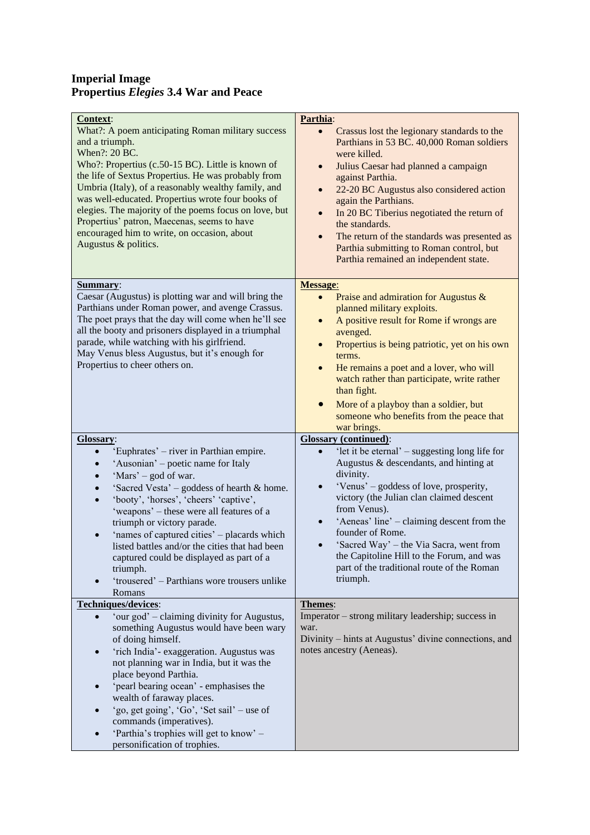#### **Imperial Image Propertius** *Elegies* **3.4 War and Peace**

| <b>Context:</b><br>What?: A poem anticipating Roman military success<br>and a triumph.<br>When?: 20 BC.<br>Who?: Propertius (c.50-15 BC). Little is known of<br>the life of Sextus Propertius. He was probably from<br>Umbria (Italy), of a reasonably wealthy family, and<br>was well-educated. Propertius wrote four books of<br>elegies. The majority of the poems focus on love, but<br>Propertius' patron, Maecenas, seems to have<br>encouraged him to write, on occasion, about<br>Augustus & politics.                                                             | Parthia:<br>Crassus lost the legionary standards to the<br>Parthians in 53 BC. 40,000 Roman soldiers<br>were killed.<br>Julius Caesar had planned a campaign<br>$\bullet$<br>against Parthia.<br>22-20 BC Augustus also considered action<br>$\bullet$<br>again the Parthians.<br>In 20 BC Tiberius negotiated the return of<br>$\bullet$<br>the standards.<br>The return of the standards was presented as<br>$\bullet$<br>Parthia submitting to Roman control, but<br>Parthia remained an independent state. |
|----------------------------------------------------------------------------------------------------------------------------------------------------------------------------------------------------------------------------------------------------------------------------------------------------------------------------------------------------------------------------------------------------------------------------------------------------------------------------------------------------------------------------------------------------------------------------|----------------------------------------------------------------------------------------------------------------------------------------------------------------------------------------------------------------------------------------------------------------------------------------------------------------------------------------------------------------------------------------------------------------------------------------------------------------------------------------------------------------|
| Summary:<br>Caesar (Augustus) is plotting war and will bring the<br>Parthians under Roman power, and avenge Crassus.<br>The poet prays that the day will come when he'll see<br>all the booty and prisoners displayed in a triumphal<br>parade, while watching with his girlfriend.<br>May Venus bless Augustus, but it's enough for<br>Propertius to cheer others on.                                                                                                                                                                                                     | Message:<br>Praise and admiration for Augustus $\&$<br>$\bullet$<br>planned military exploits.<br>A positive result for Rome if wrongs are<br>$\bullet$<br>avenged.<br>Propertius is being patriotic, yet on his own<br>$\bullet$<br>terms.<br>He remains a poet and a lover, who will<br>$\bullet$<br>watch rather than participate, write rather<br>than fight.<br>More of a playboy than a soldier, but<br>$\bullet$<br>someone who benefits from the peace that<br>war brings.                             |
| Glossary:<br>'Euphrates' – river in Parthian empire.<br>$\bullet$<br>'Ausonian' – poetic name for Italy<br>$\bullet$<br>'Mars' – god of war.<br>$\bullet$<br>'Sacred Vesta' – goddess of hearth $&$ home.<br>$\bullet$<br>'booty', 'horses', 'cheers' 'captive',<br>$\bullet$<br>'weapons' – these were all features of a<br>triumph or victory parade.<br>'names of captured cities' - placards which<br>listed battles and/or the cities that had been<br>captured could be displayed as part of a<br>triumph.<br>'trousered' - Parthians wore trousers unlike<br>Romans | <b>Glossary</b> (continued):<br>'let it be eternal' – suggesting long life for<br>Augustus & descendants, and hinting at<br>divinity.<br>'Venus' – goddess of love, prosperity,<br>$\bullet$<br>victory (the Julian clan claimed descent<br>from Venus).<br>'Aeneas' line' - claiming descent from the<br>$\bullet$<br>founder of Rome.<br>'Sacred Way' - the Via Sacra, went from<br>the Capitoline Hill to the Forum, and was<br>part of the traditional route of the Roman<br>triumph.                      |
| Techniques/devices:<br>'our god' – claiming divinity for Augustus,<br>$\bullet$<br>something Augustus would have been wary<br>of doing himself.<br>'rich India'- exaggeration. Augustus was<br>not planning war in India, but it was the<br>place beyond Parthia.<br>'pearl bearing ocean' - emphasises the<br>wealth of faraway places.<br>'go, get going', 'Go', 'Set sail' – use of<br>commands (imperatives).<br>'Parthia's trophies will get to know' -<br>personification of trophies.                                                                               | Themes:<br>Imperator – strong military leadership; success in<br>war.<br>Divinity – hints at Augustus' divine connections, and<br>notes ancestry (Aeneas).                                                                                                                                                                                                                                                                                                                                                     |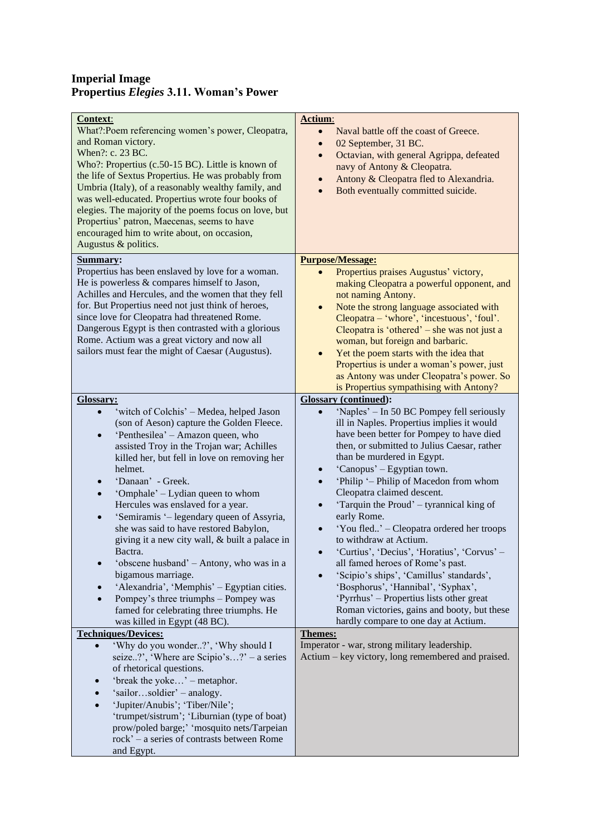#### **Imperial Image Propertius** *Elegies* **3.11. Woman's Power**

| <b>Context:</b><br>What?:Poem referencing women's power, Cleopatra,<br>and Roman victory.<br>When?: c. 23 BC.<br>Who?: Propertius (c.50-15 BC). Little is known of<br>the life of Sextus Propertius. He was probably from<br>Umbria (Italy), of a reasonably wealthy family, and<br>was well-educated. Propertius wrote four books of<br>elegies. The majority of the poems focus on love, but<br>Propertius' patron, Maecenas, seems to have<br>encouraged him to write about, on occasion,<br>Augustus & politics.                                                                                                                                                                                                                                                                            | Actium:<br>Naval battle off the coast of Greece.<br>02 September, 31 BC.<br>$\bullet$<br>Octavian, with general Agrippa, defeated<br>$\bullet$<br>navy of Antony & Cleopatra.<br>Antony & Cleopatra fled to Alexandria.<br>Both eventually committed suicide.<br>$\bullet$                                                                                                                                                                                                                                                                                                                                                                                                                                                                                                                                                                         |
|-------------------------------------------------------------------------------------------------------------------------------------------------------------------------------------------------------------------------------------------------------------------------------------------------------------------------------------------------------------------------------------------------------------------------------------------------------------------------------------------------------------------------------------------------------------------------------------------------------------------------------------------------------------------------------------------------------------------------------------------------------------------------------------------------|----------------------------------------------------------------------------------------------------------------------------------------------------------------------------------------------------------------------------------------------------------------------------------------------------------------------------------------------------------------------------------------------------------------------------------------------------------------------------------------------------------------------------------------------------------------------------------------------------------------------------------------------------------------------------------------------------------------------------------------------------------------------------------------------------------------------------------------------------|
| Summary:<br>Propertius has been enslaved by love for a woman.<br>He is powerless & compares himself to Jason,<br>Achilles and Hercules, and the women that they fell<br>for. But Propertius need not just think of heroes,<br>since love for Cleopatra had threatened Rome.<br>Dangerous Egypt is then contrasted with a glorious<br>Rome. Actium was a great victory and now all<br>sailors must fear the might of Caesar (Augustus).                                                                                                                                                                                                                                                                                                                                                          | <b>Purpose/Message:</b><br>Propertius praises Augustus' victory,<br>making Cleopatra a powerful opponent, and<br>not naming Antony.<br>Note the strong language associated with<br>$\bullet$<br>Cleopatra – 'whore', 'incestuous', 'foul'.<br>Cleopatra is 'othered' – she was not just a<br>woman, but foreign and barbaric.<br>Yet the poem starts with the idea that<br>$\bullet$<br>Propertius is under a woman's power, just<br>as Antony was under Cleopatra's power. So<br>is Propertius sympathising with Antony?                                                                                                                                                                                                                                                                                                                          |
| Glossary:<br>'witch of Colchis' - Medea, helped Jason<br>$\bullet$<br>(son of Aeson) capture the Golden Fleece.<br>'Penthesilea' – Amazon queen, who<br>$\bullet$<br>assisted Troy in the Trojan war; Achilles<br>killed her, but fell in love on removing her<br>helmet.<br>'Danaan' - Greek.<br>'Omphale' – Lydian queen to whom<br>Hercules was enslaved for a year.<br>'Semiramis '- legendary queen of Assyria,<br>$\bullet$<br>she was said to have restored Babylon,<br>giving it a new city wall, & built a palace in<br><b>Bactra</b><br>'obscene husband' – Antony, who was in a<br>$\bullet$<br>bigamous marriage.<br>'Alexandria', 'Memphis' - Egyptian cities.<br>Pompey's three triumphs - Pompey was<br>famed for celebrating three triumphs. He<br>was killed in Egypt (48 BC). | <b>Glossary</b> (continued):<br>'Naples' - In 50 BC Pompey fell seriously<br>ill in Naples. Propertius implies it would<br>have been better for Pompey to have died<br>then, or submitted to Julius Caesar, rather<br>than be murdered in Egypt.<br>'Canopus' – Egyptian town.<br>$\bullet$<br>'Philip '- Philip of Macedon from whom<br>$\bullet$<br>Cleopatra claimed descent.<br>'Tarquin the Proud' – tyrannical king of<br>$\bullet$<br>early Rome.<br>'You fled' - Cleopatra ordered her troops<br>$\bullet$<br>to withdraw at Actium.<br>'Curtius', 'Decius', 'Horatius', 'Corvus'<br>all famed heroes of Rome's past.<br>'Scipio's ships', 'Camillus' standards',<br>'Bosphorus', 'Hannibal', 'Syphax',<br>'Pyrrhus' – Propertius lists other great<br>Roman victories, gains and booty, but these<br>hardly compare to one day at Actium. |
| <b>Techniques/Devices:</b><br>'Why do you wonder?', 'Why should I<br>seize?', 'Where are Scipio's?' – a series<br>of rhetorical questions.<br>'break the yoke' – metaphor.<br>'sailorsoldier' – analogy.<br>'Jupiter/Anubis'; 'Tiber/Nile';<br>'trumpet/sistrum'; 'Liburnian (type of boat)<br>prow/poled barge;' 'mosquito nets/Tarpeian<br>rock' – a series of contrasts between Rome<br>and Egypt.                                                                                                                                                                                                                                                                                                                                                                                           | <b>Themes:</b><br>Imperator - war, strong military leadership.<br>Actium – key victory, long remembered and praised.                                                                                                                                                                                                                                                                                                                                                                                                                                                                                                                                                                                                                                                                                                                               |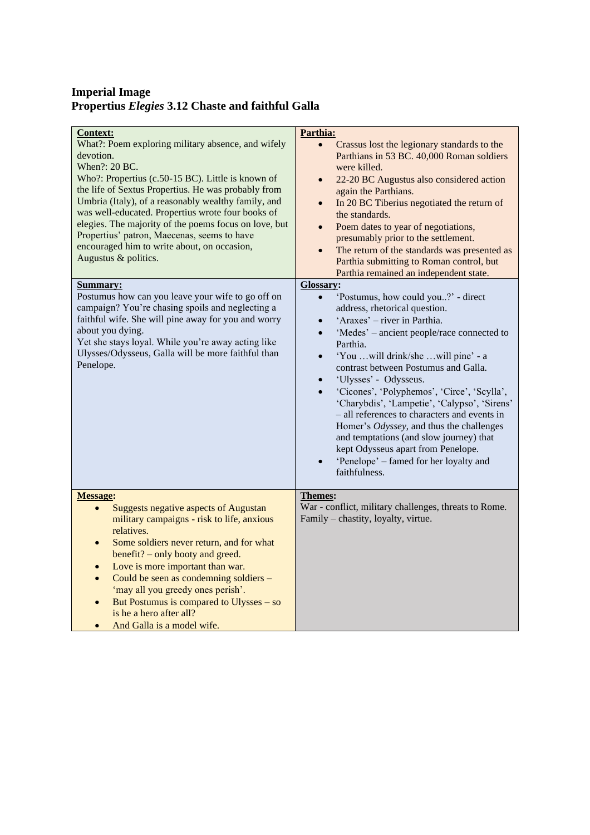#### **Imperial Image Propertius** *Elegies* **3.12 Chaste and faithful Galla**

| <b>Context:</b><br>What?: Poem exploring military absence, and wifely<br>devotion.<br>When?: 20 BC.<br>Who?: Propertius (c.50-15 BC). Little is known of<br>the life of Sextus Propertius. He was probably from<br>Umbria (Italy), of a reasonably wealthy family, and<br>was well-educated. Propertius wrote four books of<br>elegies. The majority of the poems focus on love, but<br>Propertius' patron, Maecenas, seems to have<br>encouraged him to write about, on occasion,<br>Augustus & politics. | Parthia:<br>Crassus lost the legionary standards to the<br>Parthians in 53 BC. 40,000 Roman soldiers<br>were killed.<br>22-20 BC Augustus also considered action<br>$\bullet$<br>again the Parthians.<br>In 20 BC Tiberius negotiated the return of<br>$\bullet$<br>the standards.<br>Poem dates to year of negotiations,<br>$\bullet$<br>presumably prior to the settlement.<br>The return of the standards was presented as<br>$\bullet$<br>Parthia submitting to Roman control, but<br>Parthia remained an independent state.                                                                                                                                                                                       |
|------------------------------------------------------------------------------------------------------------------------------------------------------------------------------------------------------------------------------------------------------------------------------------------------------------------------------------------------------------------------------------------------------------------------------------------------------------------------------------------------------------|------------------------------------------------------------------------------------------------------------------------------------------------------------------------------------------------------------------------------------------------------------------------------------------------------------------------------------------------------------------------------------------------------------------------------------------------------------------------------------------------------------------------------------------------------------------------------------------------------------------------------------------------------------------------------------------------------------------------|
| <b>Summary:</b><br>Postumus how can you leave your wife to go off on<br>campaign? You're chasing spoils and neglecting a<br>faithful wife. She will pine away for you and worry<br>about you dying.<br>Yet she stays loyal. While you're away acting like<br>Ulysses/Odysseus, Galla will be more faithful than<br>Penelope.                                                                                                                                                                               | Glossary:<br>$\bullet$<br>'Postumus, how could you?' - direct<br>address, rhetorical question.<br>'Araxes' – river in Parthia.<br>$\bullet$<br>'Medes' – ancient people/race connected to<br>$\bullet$<br>Parthia.<br>'You  will drink/she  will pine' - a<br>$\bullet$<br>contrast between Postumus and Galla.<br>'Ulysses' - Odysseus.<br>$\bullet$<br>'Cicones', 'Polyphemos', 'Circe', 'Scylla',<br>$\bullet$<br>'Charybdis', 'Lampetie', 'Calypso', 'Sirens'<br>- all references to characters and events in<br>Homer's Odyssey, and thus the challenges<br>and temptations (and slow journey) that<br>kept Odysseus apart from Penelope.<br>'Penelope' – famed for her loyalty and<br>$\bullet$<br>faithfulness. |
| Message:<br><b>Suggests negative aspects of Augustan</b><br>$\bullet$<br>military campaigns - risk to life, anxious<br>relatives.<br>Some soldiers never return, and for what<br>$\bullet$<br>benefit? – only booty and greed.<br>Love is more important than war.<br>$\bullet$<br>Could be seen as condemning soldiers -<br>$\bullet$<br>'may all you greedy ones perish'.<br>But Postumus is compared to Ulysses $-$ so<br>$\bullet$<br>is he a hero after all?<br>And Galla is a model wife.            | <b>Themes:</b><br>War - conflict, military challenges, threats to Rome.<br>Family - chastity, loyalty, virtue.                                                                                                                                                                                                                                                                                                                                                                                                                                                                                                                                                                                                         |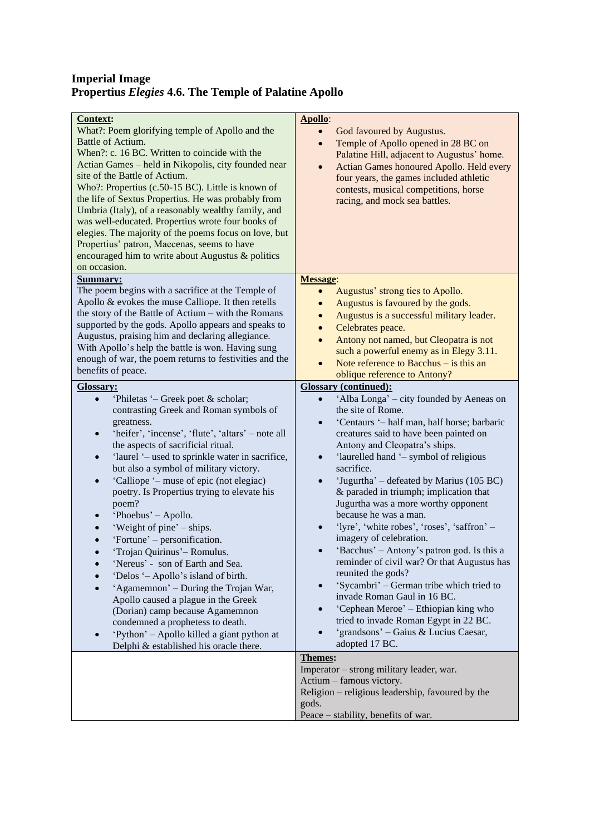#### **Imperial Image Propertius** *Elegies* **4.6. The Temple of Palatine Apollo**

| <b>Context:</b>                                                      | Apollo:                                                                       |
|----------------------------------------------------------------------|-------------------------------------------------------------------------------|
| What?: Poem glorifying temple of Apollo and the<br>Battle of Actium. | God favoured by Augustus.<br>Temple of Apollo opened in 28 BC on<br>$\bullet$ |
| When?: c. 16 BC. Written to coincide with the                        | Palatine Hill, adjacent to Augustus' home.                                    |
| Actian Games - held in Nikopolis, city founded near                  | Actian Games honoured Apollo. Held every<br>$\bullet$                         |
| site of the Battle of Actium.                                        | four years, the games included athletic                                       |
| Who?: Propertius (c.50-15 BC). Little is known of                    | contests, musical competitions, horse                                         |
| the life of Sextus Propertius. He was probably from                  | racing, and mock sea battles.                                                 |
| Umbria (Italy), of a reasonably wealthy family, and                  |                                                                               |
| was well-educated. Propertius wrote four books of                    |                                                                               |
| elegies. The majority of the poems focus on love, but                |                                                                               |
| Propertius' patron, Maecenas, seems to have                          |                                                                               |
| encouraged him to write about Augustus & politics<br>on occasion.    |                                                                               |
| Summary:                                                             | Message:                                                                      |
| The poem begins with a sacrifice at the Temple of                    |                                                                               |
| Apollo & evokes the muse Calliope. It then retells                   | Augustus' strong ties to Apollo.                                              |
| the story of the Battle of Actium – with the Romans                  | Augustus is favoured by the gods.<br>$\bullet$                                |
| supported by the gods. Apollo appears and speaks to                  | Augustus is a successful military leader.<br>$\bullet$                        |
| Augustus, praising him and declaring allegiance.                     | Celebrates peace.<br>$\bullet$                                                |
| With Apollo's help the battle is won. Having sung                    | Antony not named, but Cleopatra is not<br>$\bullet$                           |
| enough of war, the poem returns to festivities and the               | such a powerful enemy as in Elegy 3.11.                                       |
| benefits of peace.                                                   | Note reference to Bacchus $-$ is this an<br>$\bullet$                         |
|                                                                      | oblique reference to Antony?                                                  |
| <b>Glossary:</b>                                                     | <b>Glossary</b> (continued):                                                  |
| 'Philetas '- Greek poet & scholar;<br>$\bullet$                      | 'Alba Longa' – city founded by Aeneas on                                      |
| contrasting Greek and Roman symbols of                               | the site of Rome.                                                             |
| greatness.                                                           | 'Centaurs '- half man, half horse; barbaric<br>$\bullet$                      |
| 'heifer', 'incense', 'flute', 'altars' – note all<br>$\bullet$       | creatures said to have been painted on                                        |
| the aspects of sacrificial ritual.                                   | Antony and Cleopatra's ships.                                                 |
| 'laurel '- used to sprinkle water in sacrifice,<br>$\bullet$         | 'laurelled hand '- symbol of religious<br>$\bullet$                           |
| but also a symbol of military victory.                               | sacrifice.                                                                    |
| 'Calliope '- muse of epic (not elegiac)<br>$\bullet$                 | 'Jugurtha' - defeated by Marius (105 BC)<br>$\bullet$                         |
| poetry. Is Propertius trying to elevate his                          | & paraded in triumph; implication that                                        |
| poem?                                                                | Jugurtha was a more worthy opponent                                           |
| 'Phoebus' - Apollo.<br>$\bullet$                                     | because he was a man.                                                         |
| 'Weight of pine' – ships.                                            | 'lyre', 'white robes', 'roses', 'saffron' -                                   |
| 'Fortune' – personification.                                         | imagery of celebration.                                                       |
| 'Trojan Quirinus'- Romulus.                                          | 'Bacchus' - Antony's patron god. Is this a                                    |
| 'Nereus' - son of Earth and Sea.<br>$\bullet$                        | reminder of civil war? Or that Augustus has                                   |
| 'Delos '- Apollo's island of birth.                                  | reunited the gods?                                                            |
| 'Agamemnon' – During the Trojan War,                                 | 'Sycambri' - German tribe which tried to<br>invade Roman Gaul in 16 BC.       |
| Apollo caused a plague in the Greek                                  |                                                                               |
| (Dorian) camp because Agamemnon                                      | 'Cephean Meroe' – Ethiopian king who                                          |
| condemned a prophetess to death.                                     | tried to invade Roman Egypt in 22 BC.<br>'grandsons' - Gaius & Lucius Caesar, |
| 'Python' – Apollo killed a giant python at                           |                                                                               |
| Delphi & established his oracle there.                               | adopted 17 BC.                                                                |
|                                                                      | Themes:                                                                       |
|                                                                      | Imperator - strong military leader, war.                                      |
|                                                                      | Actium - famous victory.<br>Religion - religious leadership, favoured by the  |
|                                                                      |                                                                               |
|                                                                      | gods.<br>Peace – stability, benefits of war.                                  |
|                                                                      |                                                                               |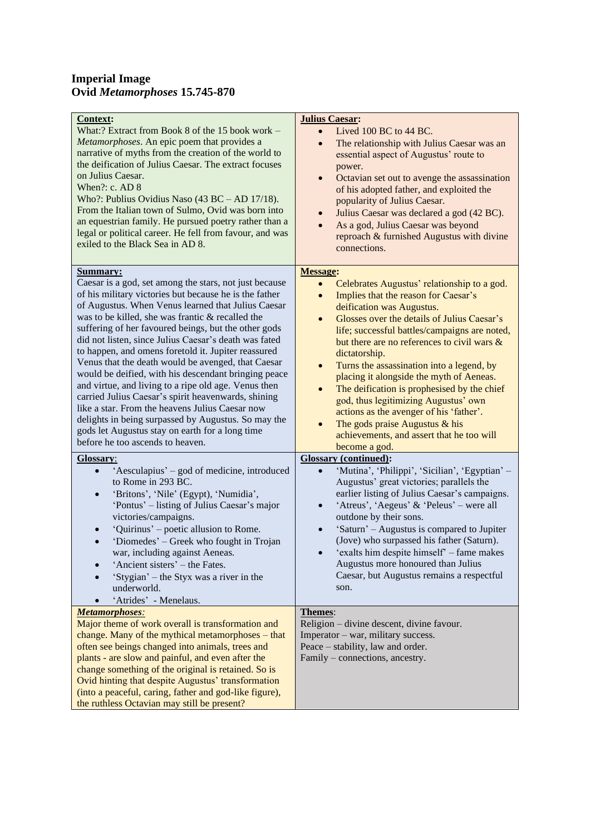#### **Imperial Image Ovid** *Metamorphoses* **15.745-870**

| <b>Context:</b><br>What:? Extract from Book 8 of the 15 book work $-$<br>Metamorphoses. An epic poem that provides a<br>narrative of myths from the creation of the world to<br>the deification of Julius Caesar. The extract focuses<br>on Julius Caesar.<br>When?: $c. AD 8$<br>Who?: Publius Ovidius Naso $(43 BC - AD 17/18)$ .<br>From the Italian town of Sulmo, Ovid was born into<br>an equestrian family. He pursued poetry rather than a<br>legal or political career. He fell from favour, and was<br>exiled to the Black Sea in AD 8.                                                                                                                                                                                                                                                                                                   | <b>Julius Caesar:</b><br>Lived 100 BC to 44 BC.<br>The relationship with Julius Caesar was an<br>$\bullet$<br>essential aspect of Augustus' route to<br>power.<br>Octavian set out to avenge the assassination<br>$\bullet$<br>of his adopted father, and exploited the<br>popularity of Julius Caesar.<br>Julius Caesar was declared a god (42 BC).<br>As a god, Julius Caesar was beyond<br>$\bullet$<br>reproach & furnished Augustus with divine<br>connections.                                                                                                                                                                                                                                       |
|-----------------------------------------------------------------------------------------------------------------------------------------------------------------------------------------------------------------------------------------------------------------------------------------------------------------------------------------------------------------------------------------------------------------------------------------------------------------------------------------------------------------------------------------------------------------------------------------------------------------------------------------------------------------------------------------------------------------------------------------------------------------------------------------------------------------------------------------------------|------------------------------------------------------------------------------------------------------------------------------------------------------------------------------------------------------------------------------------------------------------------------------------------------------------------------------------------------------------------------------------------------------------------------------------------------------------------------------------------------------------------------------------------------------------------------------------------------------------------------------------------------------------------------------------------------------------|
| <b>Summary:</b><br>Caesar is a god, set among the stars, not just because<br>of his military victories but because he is the father<br>of Augustus. When Venus learned that Julius Caesar<br>was to be killed, she was frantic & recalled the<br>suffering of her favoured beings, but the other gods<br>did not listen, since Julius Caesar's death was fated<br>to happen, and omens foretold it. Jupiter reassured<br>Venus that the death would be avenged, that Caesar<br>would be deified, with his descendant bringing peace<br>and virtue, and living to a ripe old age. Venus then<br>carried Julius Caesar's spirit heavenwards, shining<br>like a star. From the heavens Julius Caesar now<br>delights in being surpassed by Augustus. So may the<br>gods let Augustus stay on earth for a long time<br>before he too ascends to heaven. | Message:<br>Celebrates Augustus' relationship to a god.<br>$\bullet$<br>Implies that the reason for Caesar's<br>$\bullet$<br>deification was Augustus.<br>Glosses over the details of Julius Caesar's<br>$\bullet$<br>life; successful battles/campaigns are noted,<br>but there are no references to civil wars $\&$<br>dictatorship.<br>Turns the assassination into a legend, by<br>$\bullet$<br>placing it alongside the myth of Aeneas.<br>The deification is prophesised by the chief<br>$\bullet$<br>god, thus legitimizing Augustus' own<br>actions as the avenger of his 'father'.<br>The gods praise Augustus $&$ his<br>$\bullet$<br>achievements, and assert that he too will<br>become a god. |
| Glossary:<br>'Aesculapius' – god of medicine, introduced<br>to Rome in 293 BC.<br>'Britons', 'Nile' (Egypt), 'Numidia',<br>'Pontus' – listing of Julius Caesar's major<br>victories/campaigns.<br>'Quirinus' – poetic allusion to Rome.<br>'Diomedes' - Greek who fought in Trojan<br>$\bullet$<br>war, including against Aeneas.<br>'Ancient sisters' – the Fates.<br>'Stygian' – the Styx was a river in the<br>underworld.<br>'Atrides' - Menelaus.                                                                                                                                                                                                                                                                                                                                                                                              | <b>Glossary</b> (continued):<br>'Mutina', 'Philippi', 'Sicilian', 'Egyptian' -<br>Augustus' great victories; parallels the<br>earlier listing of Julius Caesar's campaigns.<br>'Atreus', 'Aegeus' & 'Peleus' – were all<br>outdone by their sons.<br>'Saturn' - Augustus is compared to Jupiter<br>(Jove) who surpassed his father (Saturn).<br>'exalts him despite himself' - fame makes<br>Augustus more honoured than Julius<br>Caesar, but Augustus remains a respectful<br>son.                                                                                                                                                                                                                       |
| <b>Metamorphoses:</b><br>Major theme of work overall is transformation and<br>change. Many of the mythical metamorphoses – that<br>often see beings changed into animals, trees and<br>plants - are slow and painful, and even after the<br>change something of the original is retained. So is<br>Ovid hinting that despite Augustus' transformation<br>(into a peaceful, caring, father and god-like figure),<br>the ruthless Octavian may still be present?                                                                                                                                                                                                                                                                                                                                                                                      | Themes:<br>Religion – divine descent, divine favour.<br>Imperator – war, military success.<br>Peace - stability, law and order.<br>Family – connections, ancestry.                                                                                                                                                                                                                                                                                                                                                                                                                                                                                                                                         |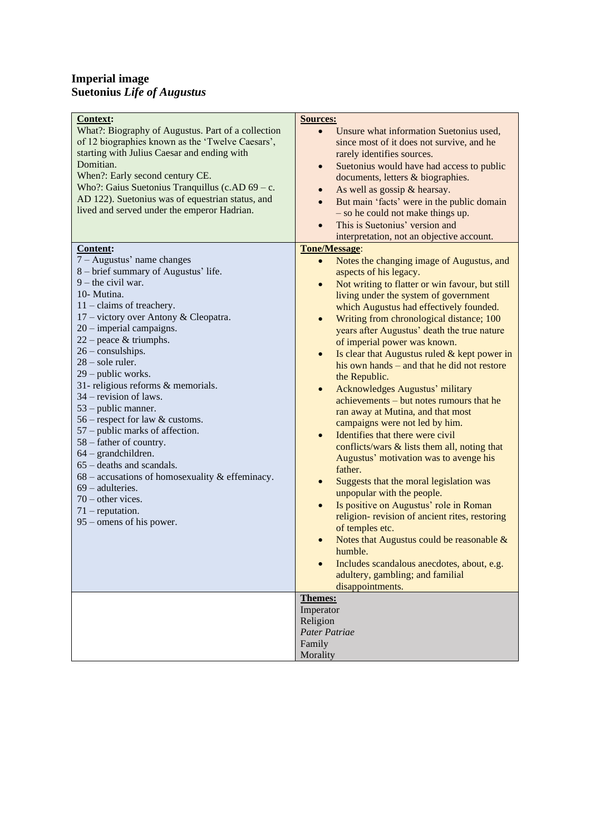#### **Imperial image Suetonius** *Life of Augustus*

| <b>Context:</b><br>What?: Biography of Augustus. Part of a collection<br>of 12 biographies known as the 'Twelve Caesars',<br>starting with Julius Caesar and ending with<br>Domitian.<br>When?: Early second century CE.<br>Who?: Gaius Suetonius Tranquillus (c.AD $69 - c$ .<br>AD 122). Suetonius was of equestrian status, and<br>lived and served under the emperor Hadrian.                                                                                                                                                                                                                                                                                                                                                        | <b>Sources:</b><br>Unsure what information Suetonius used,<br>$\bullet$<br>since most of it does not survive, and he<br>rarely identifies sources.<br>Suetonius would have had access to public<br>$\bullet$<br>documents, letters & biographies.<br>As well as gossip & hearsay.<br>$\bullet$<br>But main 'facts' were in the public domain<br>$\bullet$<br>$-$ so he could not make things up.<br>This is Suetonius' version and<br>$\bullet$<br>interpretation, not an objective account.                                                                                                                                                                                                                                                                                                                                                                                                                                                                                                                                                                                                                                                                                                                                                 |
|------------------------------------------------------------------------------------------------------------------------------------------------------------------------------------------------------------------------------------------------------------------------------------------------------------------------------------------------------------------------------------------------------------------------------------------------------------------------------------------------------------------------------------------------------------------------------------------------------------------------------------------------------------------------------------------------------------------------------------------|----------------------------------------------------------------------------------------------------------------------------------------------------------------------------------------------------------------------------------------------------------------------------------------------------------------------------------------------------------------------------------------------------------------------------------------------------------------------------------------------------------------------------------------------------------------------------------------------------------------------------------------------------------------------------------------------------------------------------------------------------------------------------------------------------------------------------------------------------------------------------------------------------------------------------------------------------------------------------------------------------------------------------------------------------------------------------------------------------------------------------------------------------------------------------------------------------------------------------------------------|
| <b>Content:</b><br>7 – Augustus' name changes<br>8 – brief summary of Augustus' life.<br>$9$ – the civil war.<br>10- Mutina.<br>11 - claims of treachery.<br>17 - victory over Antony & Cleopatra.<br>20 - imperial campaigns.<br>$22$ – peace & triumphs.<br>$26$ – consulships.<br>$28 - \text{sole ruler.}$<br>29 – public works.<br>31- religious reforms & memorials.<br>34 – revision of laws.<br>53 – public manner.<br>56 – respect for law & customs.<br>57 – public marks of affection.<br>58 – father of country.<br>64 - grandchildren.<br>$65$ – deaths and scandals.<br>$68$ – accusations of homosexuality & effeminacy.<br>$69$ – adulteries.<br>$70$ – other vices.<br>$71$ – reputation.<br>$95$ – omens of his power. | <b>Tone/Message:</b><br>Notes the changing image of Augustus, and<br>$\bullet$<br>aspects of his legacy.<br>Not writing to flatter or win favour, but still<br>$\bullet$<br>living under the system of government<br>which Augustus had effectively founded.<br>Writing from chronological distance; 100<br>$\bullet$<br>years after Augustus' death the true nature<br>of imperial power was known.<br>Is clear that Augustus ruled & kept power in<br>$\bullet$<br>his own hands – and that he did not restore<br>the Republic.<br><b>Acknowledges Augustus' military</b><br>$\bullet$<br>achievements – but notes rumours that he<br>ran away at Mutina, and that most<br>campaigns were not led by him.<br>Identifies that there were civil<br>$\bullet$<br>conflicts/wars $\&$ lists them all, noting that<br>Augustus' motivation was to avenge his<br>father.<br>Suggests that the moral legislation was<br>$\bullet$<br>unpopular with the people.<br>Is positive on Augustus' role in Roman<br>$\bullet$<br>religion-revision of ancient rites, restoring<br>of temples etc.<br>Notes that Augustus could be reasonable &<br>humble.<br>Includes scandalous anecdotes, about, e.g.<br>$\bullet$<br>adultery, gambling; and familial |
|                                                                                                                                                                                                                                                                                                                                                                                                                                                                                                                                                                                                                                                                                                                                          | disappointments.<br>Themes:<br>Imperator<br>Religion<br>Pater Patriae<br>Family<br>Morality                                                                                                                                                                                                                                                                                                                                                                                                                                                                                                                                                                                                                                                                                                                                                                                                                                                                                                                                                                                                                                                                                                                                                  |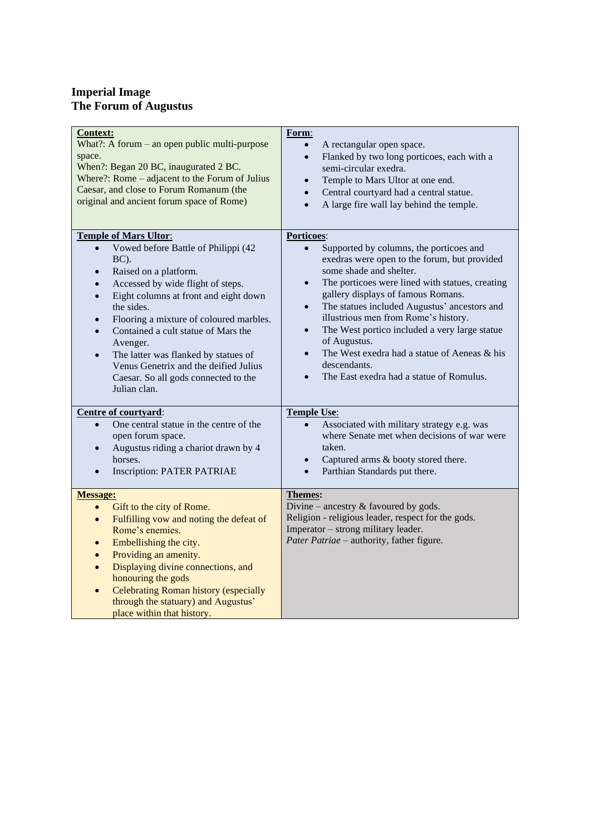### **Imperial Image The Forum of Augustus**

| <b>Context:</b><br>What?: A forum $-$ an open public multi-purpose<br>space.<br>When?: Began 20 BC, inaugurated 2 BC.<br>Where?: Rome – adjacent to the Forum of Julius<br>Caesar, and close to Forum Romanum (the<br>original and ancient forum space of Rome)                                                                                                                                                                                                                                                       | Form:<br>A rectangular open space.<br>Flanked by two long porticoes, each with a<br>$\bullet$<br>semi-circular exedra.<br>Temple to Mars Ultor at one end.<br>$\bullet$<br>Central courtyard had a central statue.<br>$\bullet$<br>A large fire wall lay behind the temple.                                                                                                                                                                                                                                                                               |
|-----------------------------------------------------------------------------------------------------------------------------------------------------------------------------------------------------------------------------------------------------------------------------------------------------------------------------------------------------------------------------------------------------------------------------------------------------------------------------------------------------------------------|-----------------------------------------------------------------------------------------------------------------------------------------------------------------------------------------------------------------------------------------------------------------------------------------------------------------------------------------------------------------------------------------------------------------------------------------------------------------------------------------------------------------------------------------------------------|
| <b>Temple of Mars Ultor:</b><br>Vowed before Battle of Philippi (42<br>$\bullet$<br>BC).<br>Raised on a platform.<br>$\bullet$<br>Accessed by wide flight of steps.<br>$\bullet$<br>Eight columns at front and eight down<br>$\bullet$<br>the sides.<br>Flooring a mixture of coloured marbles.<br>$\bullet$<br>Contained a cult statue of Mars the<br>Avenger.<br>The latter was flanked by statues of<br>$\bullet$<br>Venus Genetrix and the deified Julius<br>Caesar. So all gods connected to the<br>Julian clan. | <b>Porticoes:</b><br>Supported by columns, the porticoes and<br>$\bullet$<br>exedras were open to the forum, but provided<br>some shade and shelter.<br>The porticoes were lined with statues, creating<br>$\bullet$<br>gallery displays of famous Romans.<br>The statues included Augustus' ancestors and<br>$\bullet$<br>illustrious men from Rome's history.<br>The West portico included a very large statue<br>of Augustus.<br>The West exedra had a statue of Aeneas & his<br>$\bullet$<br>descendants.<br>The East exedra had a statue of Romulus. |
| Centre of courtyard:<br>One central statue in the centre of the<br>$\bullet$<br>open forum space.<br>Augustus riding a chariot drawn by 4<br>horses.<br><b>Inscription: PATER PATRIAE</b>                                                                                                                                                                                                                                                                                                                             | <b>Temple Use:</b><br>Associated with military strategy e.g. was<br>$\bullet$<br>where Senate met when decisions of war were<br>taken.<br>Captured arms & booty stored there.<br>Parthian Standards put there.                                                                                                                                                                                                                                                                                                                                            |
| <b>Message:</b><br>Gift to the city of Rome.<br>$\bullet$<br>Fulfilling vow and noting the defeat of<br>$\bullet$<br>Rome's enemies.<br>Embellishing the city.<br>$\bullet$<br>Providing an amenity.<br>$\bullet$<br>Displaying divine connections, and<br>$\bullet$<br>honouring the gods<br><b>Celebrating Roman history (especially</b><br>$\bullet$<br>through the statuary) and Augustus'<br>place within that history.                                                                                          | Themes:<br>Divine – ancestry $&$ favoured by gods.<br>Religion - religious leader, respect for the gods.<br>Imperator – strong military leader.<br>Pater Patriae - authority, father figure.                                                                                                                                                                                                                                                                                                                                                              |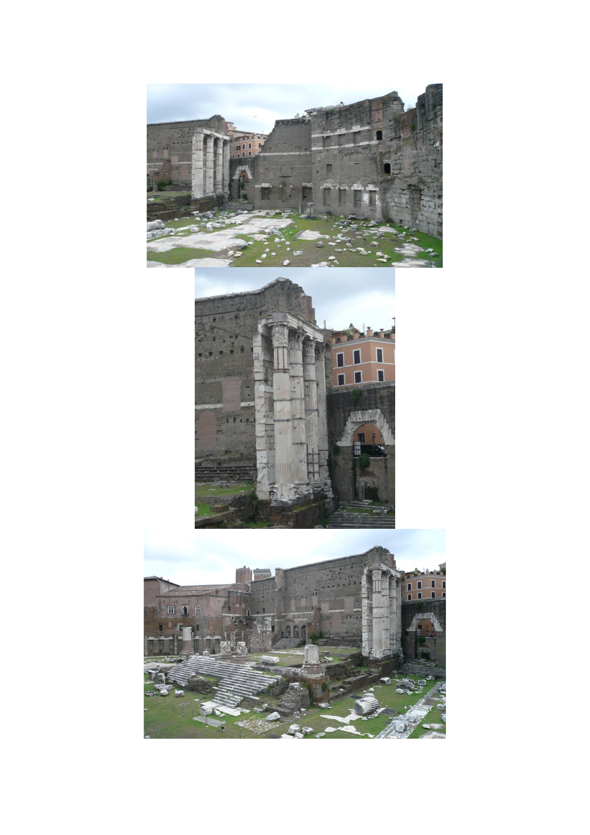



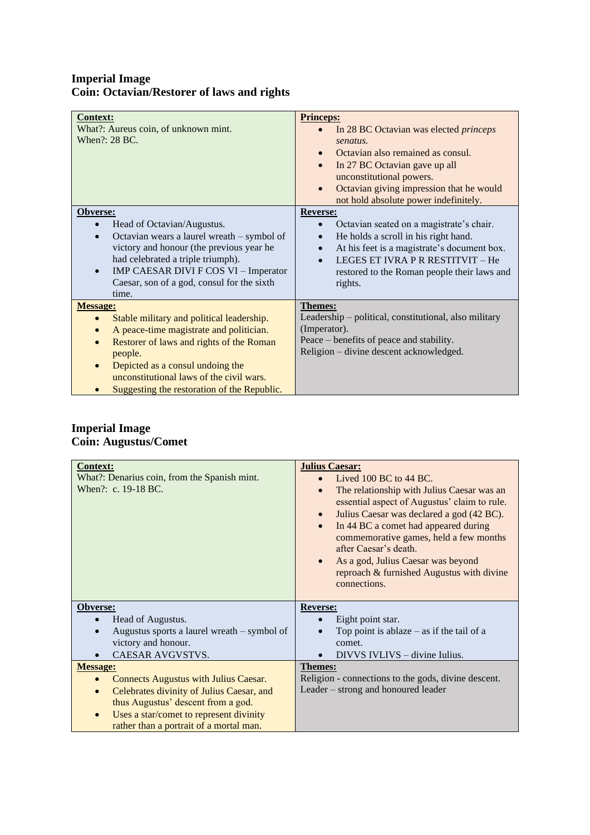#### **Imperial Image Coin: Octavian/Restorer of laws and rights**

| <b>Context:</b><br>What?: Aureus coin, of unknown mint.<br>When?: 28 BC.                                                                                                                                                                                                                                                             | <b>Princeps:</b><br>In 28 BC Octavian was elected <i>princeps</i><br>senatus.<br>Octavian also remained as consul.<br>$\bullet$<br>In 27 BC Octavian gave up all<br>$\bullet$<br>unconstitutional powers.<br>Octavian giving impression that he would<br>$\bullet$<br>not hold absolute power indefinitely. |
|--------------------------------------------------------------------------------------------------------------------------------------------------------------------------------------------------------------------------------------------------------------------------------------------------------------------------------------|-------------------------------------------------------------------------------------------------------------------------------------------------------------------------------------------------------------------------------------------------------------------------------------------------------------|
| Obverse:<br>Head of Octavian/Augustus.<br>Octavian wears a laurel wreath – symbol of<br>victory and honour (the previous year he<br>had celebrated a triple triumph).<br>IMP CAESAR DIVI F COS VI - Imperator<br>Caesar, son of a god, consul for the sixth<br>time.                                                                 | <b>Reverse:</b><br>Octavian seated on a magistrate's chair.<br>He holds a scroll in his right hand.<br>At his feet is a magistrate's document box.<br>LEGES ET IVRA P R RESTITVIT – He<br>restored to the Roman people their laws and<br>rights.                                                            |
| <b>Message:</b><br>Stable military and political leadership.<br>A peace-time magistrate and politician.<br>$\bullet$<br>Restorer of laws and rights of the Roman<br>$\bullet$<br>people.<br>Depicted as a consul undoing the<br>$\bullet$<br>unconstitutional laws of the civil wars.<br>Suggesting the restoration of the Republic. | <b>Themes:</b><br>Leadership – political, constitutional, also military<br>(Imperator).<br>Peace – benefits of peace and stability.<br>Religion - divine descent acknowledged.                                                                                                                              |

#### **Imperial Image Coin: Augustus/Comet**

| <b>Context:</b><br>What?: Denarius coin, from the Spanish mint.<br>When?: c. 19-18 BC. | <b>Julius Caesar:</b><br>Lived 100 BC to 44 BC.<br>The relationship with Julius Caesar was an<br>$\bullet$<br>essential aspect of Augustus' claim to rule.<br>Julius Caesar was declared a god (42 BC).<br>$\bullet$<br>In 44 BC a comet had appeared during<br>$\bullet$<br>commemorative games, held a few months<br>after Caesar's death.<br>As a god, Julius Caesar was beyond<br>$\bullet$<br>reproach & furnished Augustus with divine<br>connections. |
|----------------------------------------------------------------------------------------|--------------------------------------------------------------------------------------------------------------------------------------------------------------------------------------------------------------------------------------------------------------------------------------------------------------------------------------------------------------------------------------------------------------------------------------------------------------|
| Obverse:                                                                               | <b>Reverse:</b>                                                                                                                                                                                                                                                                                                                                                                                                                                              |
| Head of Augustus.                                                                      | Eight point star.                                                                                                                                                                                                                                                                                                                                                                                                                                            |
| Augustus sports a laurel wreath - symbol of                                            | Top point is ablaze $-$ as if the tail of a                                                                                                                                                                                                                                                                                                                                                                                                                  |
| victory and honour.                                                                    | comet.                                                                                                                                                                                                                                                                                                                                                                                                                                                       |
| CAESAR AVGVSTVS.                                                                       | $DIVVS$ IVLIVS $-$ divine Iulius.                                                                                                                                                                                                                                                                                                                                                                                                                            |
| <b>Message:</b>                                                                        | <b>Themes:</b>                                                                                                                                                                                                                                                                                                                                                                                                                                               |
| <b>Connects Augustus with Julius Caesar.</b><br>$\bullet$                              | Religion - connections to the gods, divine descent.                                                                                                                                                                                                                                                                                                                                                                                                          |
| Celebrates divinity of Julius Caesar, and<br>$\bullet$                                 | Leader – strong and honoured leader                                                                                                                                                                                                                                                                                                                                                                                                                          |
| thus Augustus' descent from a god.                                                     |                                                                                                                                                                                                                                                                                                                                                                                                                                                              |
| Uses a star/comet to represent divinity<br>$\bullet$                                   |                                                                                                                                                                                                                                                                                                                                                                                                                                                              |
| rather than a portrait of a mortal man.                                                |                                                                                                                                                                                                                                                                                                                                                                                                                                                              |